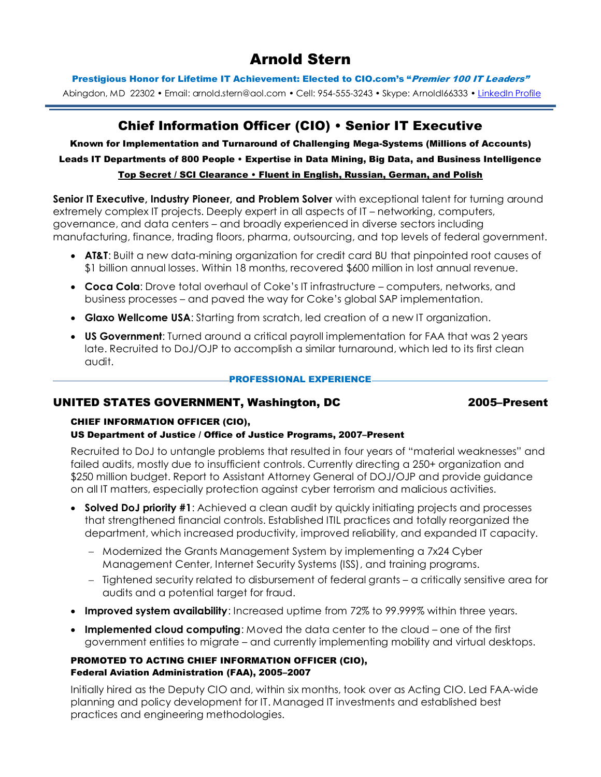# Arnold Stern

Prestigious Honor for Lifetime IT Achievement: Elected to CIO.com's "Premier 100 IT Leaders"

Abingdon, MD 22302 • Email: arnold.stern@aol.com • Cell: 954-555-3243 • Skype: ArnoldI66333 • [LinkedIn Profile](http://linkedin.com/)

## Chief Information Officer (CIO) • Senior IT Executive

Known for Implementation and Turnaround of Challenging Mega-Systems (Millions of Accounts) Leads IT Departments of 800 People • Expertise in Data Mining, Big Data, and Business Intelligence Top Secret / SCI Clearance • Fluent in English, Russian, German, and Polish

**Senior IT Executive, Industry Pioneer, and Problem Solver** with exceptional talent for turning around extremely complex IT projects. Deeply expert in all aspects of IT – networking, computers,

governance, and data centers – and broadly experienced in diverse sectors including manufacturing, finance, trading floors, pharma, outsourcing, and top levels of federal government.

- **AT&T**: Built a new data-mining organization for credit card BU that pinpointed root causes of \$1 billion annual losses. Within 18 months, recovered \$600 million in lost annual revenue.
- **Coca Cola**: Drove total overhaul of Coke's IT infrastructure computers, networks, and business processes – and paved the way for Coke's global SAP implementation.
- **Glaxo Wellcome USA**: Starting from scratch, led creation of a new IT organization.
- **US Government**: Turned around a critical payroll implementation for FAA that was 2 years late. Recruited to DoJ/OJP to accomplish a similar turnaround, which led to its first clean audit.

#### PROFESSIONAL EXPERIENCE

### UNITED STATES GOVERNMENT, Washington, DC 2005–Present

## CHIEF INFORMATION OFFICER (CIO),

### US Department of Justice / Office of Justice Programs, 2007–Present

Recruited to DoJ to untangle problems that resulted in four years of "material weaknesses" and failed audits, mostly due to insufficient controls. Currently directing a 250+ organization and \$250 million budget. Report to Assistant Attorney General of DOJ/OJP and provide guidance on all IT matters, especially protection against cyber terrorism and malicious activities.

- **Solved DoJ priority #1**: Achieved a clean audit by quickly initiating projects and processes that strengthened financial controls. Established ITIL practices and totally reorganized the department, which increased productivity, improved reliability, and expanded IT capacity.
	- Modernized the Grants Management System by implementing a 7x24 Cyber Management Center, Internet Security Systems (ISS), and training programs.
	- Tightened security related to disbursement of federal grants a critically sensitive area for audits and a potential target for fraud.
- **Improved system availability**: Increased uptime from 72% to 99.999% within three years.
- **Implemented cloud computing**: Moved the data center to the cloud one of the first government entities to migrate – and currently implementing mobility and virtual desktops.

#### PROMOTED TO ACTING CHIEF INFORMATION OFFICER (CIO), Federal Aviation Administration (FAA), 2005–2007

Initially hired as the Deputy CIO and, within six months, took over as Acting CIO. Led FAA-wide planning and policy development for IT. Managed IT investments and established best practices and engineering methodologies.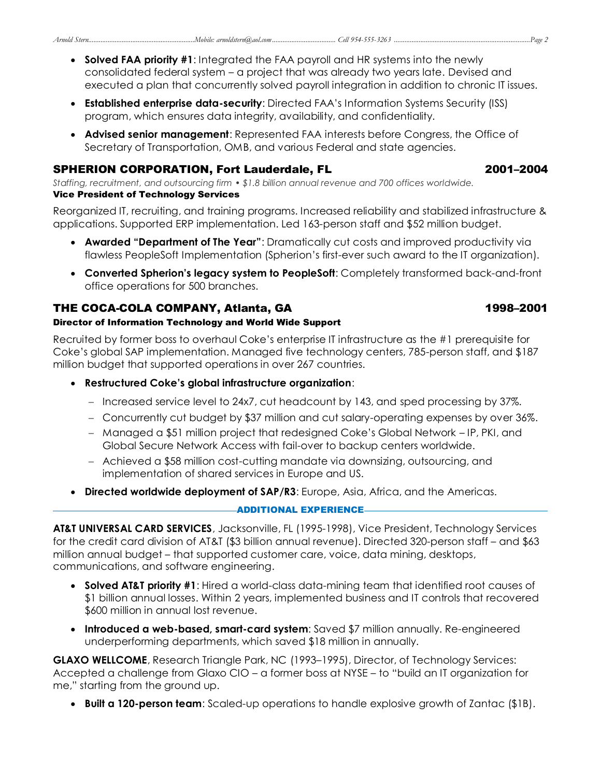- **Solved FAA priority #1**: Integrated the FAA payroll and HR systems into the newly consolidated federal system – a project that was already two years late. Devised and executed a plan that concurrently solved payroll integration in addition to chronic IT issues.
- **Established enterprise data-security**: Directed FAA's Information Systems Security (ISS) program, which ensures data integrity, availability, and confidentiality.
- **Advised senior management**: Represented FAA interests before Congress, the Office of Secretary of Transportation, OMB, and various Federal and state agencies.

## SPHERION CORPORATION, Fort Lauderdale, FL **2001–2004**

*Staffing, recruitment, and outsourcing firm • \$1.8 billion annual revenue and 700 offices worldwide.* Vice President of Technology Services

Reorganized IT, recruiting, and training programs. Increased reliability and stabilized infrastructure & applications. Supported ERP implementation. Led 163-person staff and \$52 million budget.

- **Awarded "Department of The Year"**: Dramatically cut costs and improved productivity via flawless PeopleSoft Implementation (Spherion's first-ever such award to the IT organization).
- **Converted Spherion's legacy system to PeopleSoft**: Completely transformed back-and-front office operations for 500 branches.

## THE COCA-COLA COMPANY, Atlanta, GA 1998–2001

## Director of Information Technology and World Wide Support

Recruited by former boss to overhaul Coke's enterprise IT infrastructure as the #1 prerequisite for Coke's global SAP implementation. Managed five technology centers, 785-person staff, and \$187 million budget that supported operations in over 267 countries.

## **Restructured Coke's global infrastructure organization**:

- Increased service level to 24x7, cut headcount by 143, and sped processing by 37%.
- Concurrently cut budget by \$37 million and cut salary-operating expenses by over 36%.
- Managed a \$51 million project that redesigned Coke's Global Network IP, PKI, and Global Secure Network Access with fail-over to backup centers worldwide.
- Achieved a \$58 million cost-cutting mandate via downsizing, outsourcing, and implementation of shared services in Europe and US.
- **Directed worldwide deployment of SAP/R3**: Europe, Asia, Africa, and the Americas.

### ADDITIONAL EXPERIENCE

**AT&T UNIVERSAL CARD SERVICES**, Jacksonville, FL (1995-1998), Vice President, Technology Services for the credit card division of AT&T (\$3 billion annual revenue). Directed 320-person staff – and \$63 million annual budget – that supported customer care, voice, data mining, desktops, communications, and software engineering.

- **Solved AT&T priority #1**: Hired a world-class data-mining team that identified root causes of \$1 billion annual losses. Within 2 years, implemented business and IT controls that recovered \$600 million in annual lost revenue.
- **Introduced a web-based, smart-card system**: Saved \$7 million annually. Re-engineered underperforming departments, which saved \$18 million in annually.

**GLAXO WELLCOME**, Research Triangle Park, NC (1993–1995), Director, of Technology Services: Accepted a challenge from Glaxo CIO – a former boss at NYSE – to "build an IT organization for me," starting from the ground up.

**Built a 120-person team**: Scaled-up operations to handle explosive growth of Zantac (\$1B).